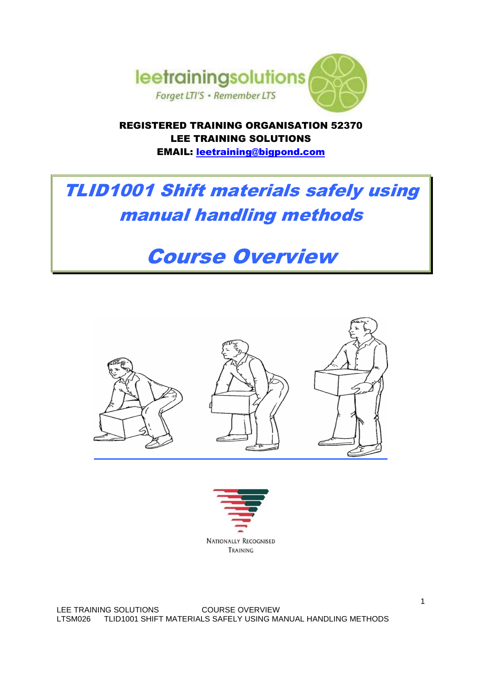

REGISTERED TRAINING ORGANISATION 52370 LEE TRAINING SOLUTIONS EMAIL: leetraining@bigpond.com

# TLID1001 Shift materials safely using manual handling methods

# Course Overview





LEE TRAINING SOLUTIONS COURSE OVERVIEW LTSM026 TLID1001 SHIFT MATERIALS SAFELY USING MANUAL HANDLING METHODS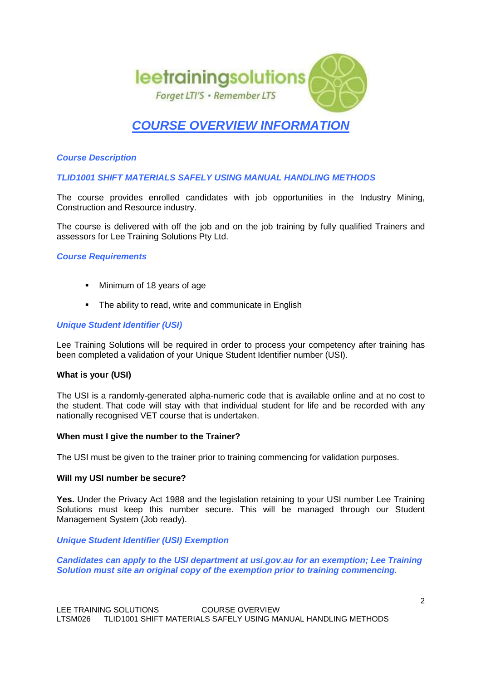

# **COURSE OVERVIEW INFORMATION**

# **Course Description**

**TLID1001 SHIFT MATERIALS SAFELY USING MANUAL HANDLING METHODS** 

The course provides enrolled candidates with job opportunities in the Industry Mining, Construction and Resource industry.

The course is delivered with off the job and on the job training by fully qualified Trainers and assessors for Lee Training Solutions Pty Ltd.

#### **Course Requirements**

- Minimum of 18 years of age
- The ability to read, write and communicate in English

#### **Unique Student Identifier (USI)**

Lee Training Solutions will be required in order to process your competency after training has been completed a validation of your Unique Student Identifier number (USI).

#### **What is your (USI)**

The USI is a randomly-generated alpha-numeric code that is available online and at no cost to the student. That code will stay with that individual student for life and be recorded with any nationally recognised VET course that is undertaken.

#### **When must I give the number to the Trainer?**

The USI must be given to the trainer prior to training commencing for validation purposes.

#### **Will my USI number be secure?**

**Yes.** Under the Privacy Act 1988 and the legislation retaining to your USI number Lee Training Solutions must keep this number secure. This will be managed through our Student Management System (Job ready).

**Unique Student Identifier (USI) Exemption**

**Candidates can apply to the USI department at usi.gov.au for an exemption; Lee Training Solution must site an original copy of the exemption prior to training commencing.**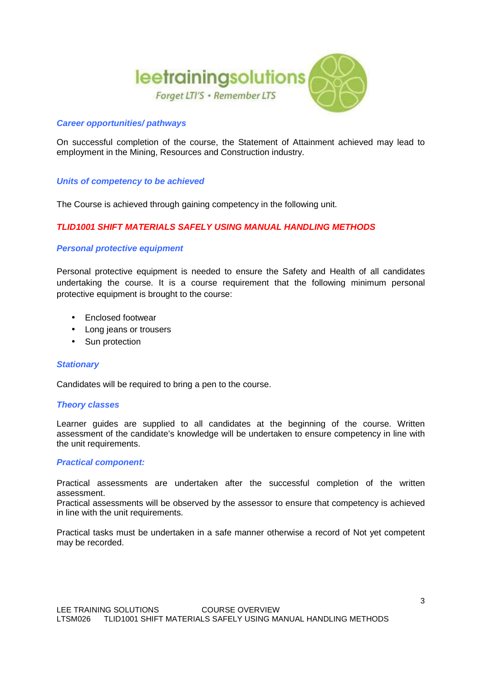

# **Career opportunities/ pathways**

On successful completion of the course, the Statement of Attainment achieved may lead to employment in the Mining, Resources and Construction industry.

#### **Units of competency to be achieved**

The Course is achieved through gaining competency in the following unit.

# **TLID1001 SHIFT MATERIALS SAFELY USING MANUAL HANDLING METHODS**

#### **Personal protective equipment**

Personal protective equipment is needed to ensure the Safety and Health of all candidates undertaking the course. It is a course requirement that the following minimum personal protective equipment is brought to the course:

- Enclosed footwear
- Long jeans or trousers
- Sun protection

#### **Stationary**

Candidates will be required to bring a pen to the course.

#### **Theory classes**

Learner guides are supplied to all candidates at the beginning of the course. Written assessment of the candidate's knowledge will be undertaken to ensure competency in line with the unit requirements.

#### **Practical component:**

Practical assessments are undertaken after the successful completion of the written assessment.

Practical assessments will be observed by the assessor to ensure that competency is achieved in line with the unit requirements.

Practical tasks must be undertaken in a safe manner otherwise a record of Not yet competent may be recorded.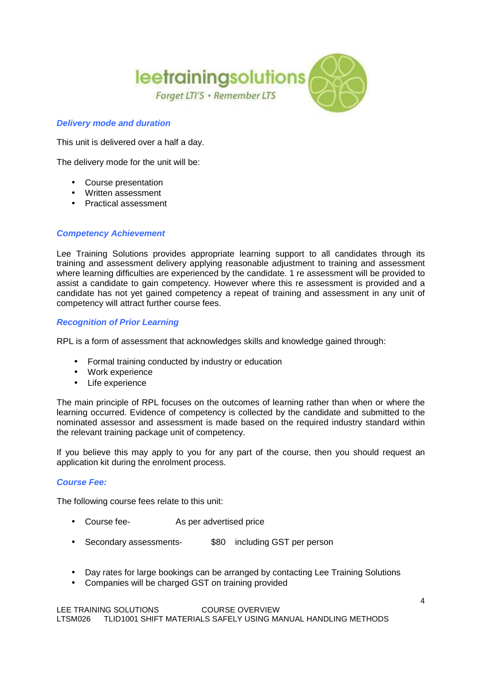

# **Delivery mode and duration**

This unit is delivered over a half a day.

The delivery mode for the unit will be:

- Course presentation
- Written assessment
- Practical assessment

# **Competency Achievement**

Lee Training Solutions provides appropriate learning support to all candidates through its training and assessment delivery applying reasonable adjustment to training and assessment where learning difficulties are experienced by the candidate. 1 re assessment will be provided to assist a candidate to gain competency. However where this re assessment is provided and a candidate has not yet gained competency a repeat of training and assessment in any unit of competency will attract further course fees.

# **Recognition of Prior Learning**

RPL is a form of assessment that acknowledges skills and knowledge gained through:

- Formal training conducted by industry or education
- Work experience
- Life experience

The main principle of RPL focuses on the outcomes of learning rather than when or where the learning occurred. Evidence of competency is collected by the candidate and submitted to the nominated assessor and assessment is made based on the required industry standard within the relevant training package unit of competency.

If you believe this may apply to you for any part of the course, then you should request an application kit during the enrolment process.

#### **Course Fee:**

The following course fees relate to this unit:

- Course fee- As per advertised price
- Secondary assessments- \$80 including GST per person
- Day rates for large bookings can be arranged by contacting Lee Training Solutions
- Companies will be charged GST on training provided

LEE TRAINING SOLUTIONS COURSE OVERVIEW LTSM026 TLID1001 SHIFT MATERIALS SAFELY USING MANUAL HANDLING METHODS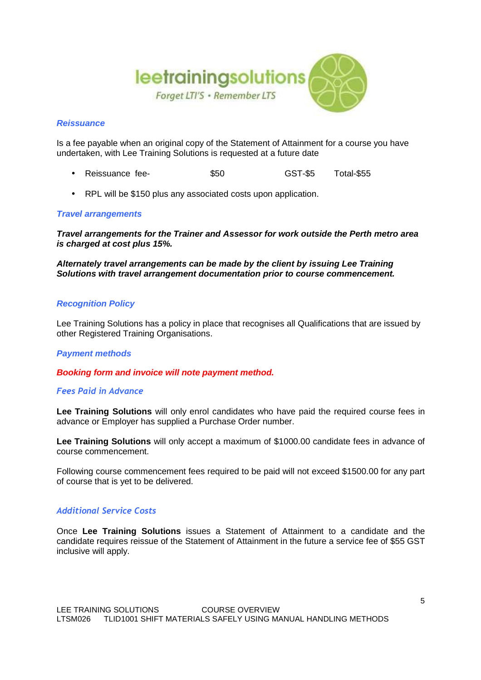

### **Reissuance**

Is a fee payable when an original copy of the Statement of Attainment for a course you have undertaken, with Lee Training Solutions is requested at a future date

- Reissuance fee-  $$50$  GST-\$5 Total-\$55
- RPL will be \$150 plus any associated costs upon application.

# **Travel arrangements**

**Travel arrangements for the Trainer and Assessor for work outside the Perth metro area is charged at cost plus 15%.**

**Alternately travel arrangements can be made by the client by issuing Lee Training Solutions with travel arrangement documentation prior to course commencement.**

#### **Recognition Policy**

Lee Training Solutions has a policy in place that recognises all Qualifications that are issued by other Registered Training Organisations.

#### **Payment methods**

**Booking form and invoice will note payment method.**

#### *Fees Paid in Advance*

**Lee Training Solutions** will only enrol candidates who have paid the required course fees in advance or Employer has supplied a Purchase Order number.

**Lee Training Solutions** will only accept a maximum of \$1000.00 candidate fees in advance of course commencement.

Following course commencement fees required to be paid will not exceed \$1500.00 for any part of course that is yet to be delivered.

# *Additional Service Costs*

Once **Lee Training Solutions** issues a Statement of Attainment to a candidate and the candidate requires reissue of the Statement of Attainment in the future a service fee of \$55 GST inclusive will apply.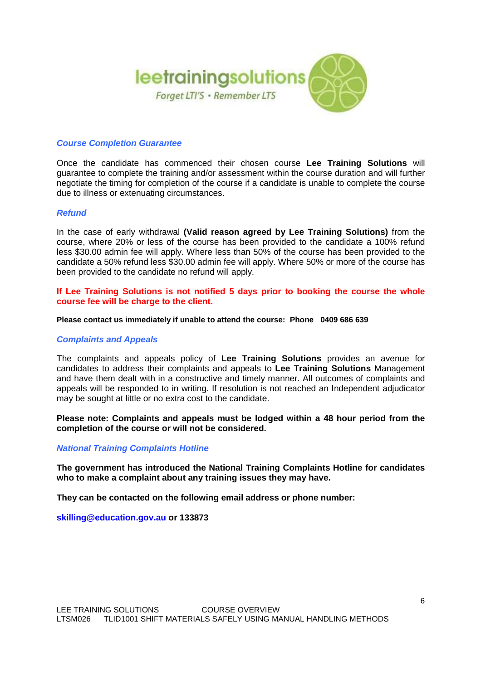

### **Course Completion Guarantee**

Once the candidate has commenced their chosen course **Lee Training Solutions** will guarantee to complete the training and/or assessment within the course duration and will further negotiate the timing for completion of the course if a candidate is unable to complete the course due to illness or extenuating circumstances.

#### **Refund**

In the case of early withdrawal **(Valid reason agreed by Lee Training Solutions)** from the course, where 20% or less of the course has been provided to the candidate a 100% refund less \$30.00 admin fee will apply. Where less than 50% of the course has been provided to the candidate a 50% refund less \$30.00 admin fee will apply. Where 50% or more of the course has been provided to the candidate no refund will apply.

### **If Lee Training Solutions is not notified 5 days prior to booking the course the whole course fee will be charge to the client.**

#### **Please contact us immediately if unable to attend the course: Phone 0409 686 639**

#### **Complaints and Appeals**

The complaints and appeals policy of **Lee Training Solutions** provides an avenue for candidates to address their complaints and appeals to **Lee Training Solutions** Management and have them dealt with in a constructive and timely manner. All outcomes of complaints and appeals will be responded to in writing. If resolution is not reached an Independent adjudicator may be sought at little or no extra cost to the candidate.

**Please note: Complaints and appeals must be lodged within a 48 hour period from the completion of the course or will not be considered.**

#### **National Training Complaints Hotline**

**The government has introduced the National Training Complaints Hotline for candidates who to make a complaint about any training issues they may have.** 

**They can be contacted on the following email address or phone number:** 

**skilling@education.gov.au or 133873**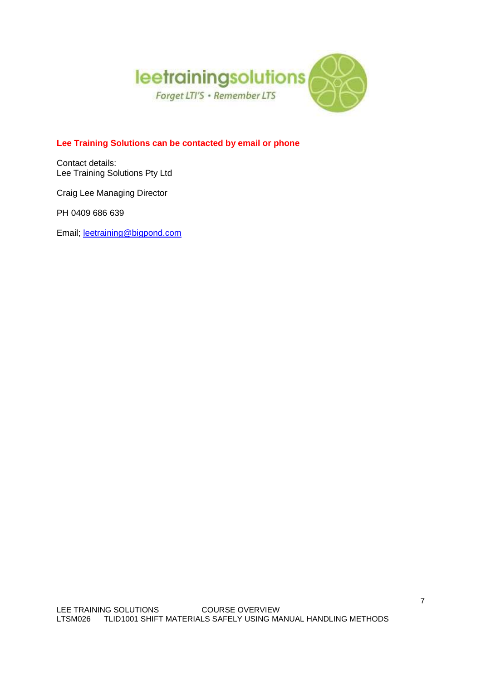

# **Lee Training Solutions can be contacted by email or phone**

Contact details: Lee Training Solutions Pty Ltd

Craig Lee Managing Director

PH 0409 686 639

Email; leetraining@bigpond.com